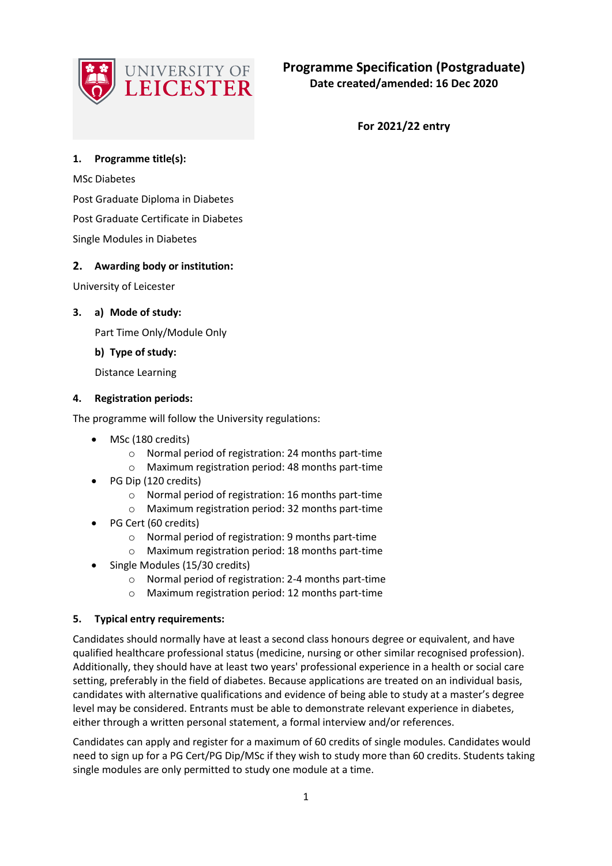

**For 2021/22 entry**

# **1. Programme title(s):**

MSc Diabetes

Post Graduate Diploma in Diabetes

Post Graduate Certificate in Diabetes

Single Modules in Diabetes

# **2. Awarding body or institution:**

University of Leicester

# **3. a) Mode of study:**

Part Time Only/Module Only

# **b) Type of study:**

Distance Learning

### **4. Registration periods:**

The programme will follow the University regulations:

- MSc (180 credits)
	- o Normal period of registration: 24 months part-time
	- o Maximum registration period: 48 months part-time
- PG Dip (120 credits)
	- o Normal period of registration: 16 months part-time
	- o Maximum registration period: 32 months part-time
- PG Cert (60 credits)
	- o Normal period of registration: 9 months part-time
	- o Maximum registration period: 18 months part-time
- Single Modules (15/30 credits)
	- o Normal period of registration: 2-4 months part-time
	- o Maximum registration period: 12 months part-time

### **5. Typical entry requirements:**

Candidates should normally have at least a second class honours degree or equivalent, and have qualified healthcare professional status (medicine, nursing or other similar recognised profession). Additionally, they should have at least two years' professional experience in a health or social care setting, preferably in the field of diabetes. Because applications are treated on an individual basis, candidates with alternative qualifications and evidence of being able to study at a master's degree level may be considered. Entrants must be able to demonstrate relevant experience in diabetes, either through a written personal statement, a formal interview and/or references.

Candidates can apply and register for a maximum of 60 credits of single modules. Candidates would need to sign up for a PG Cert/PG Dip/MSc if they wish to study more than 60 credits. Students taking single modules are only permitted to study one module at a time.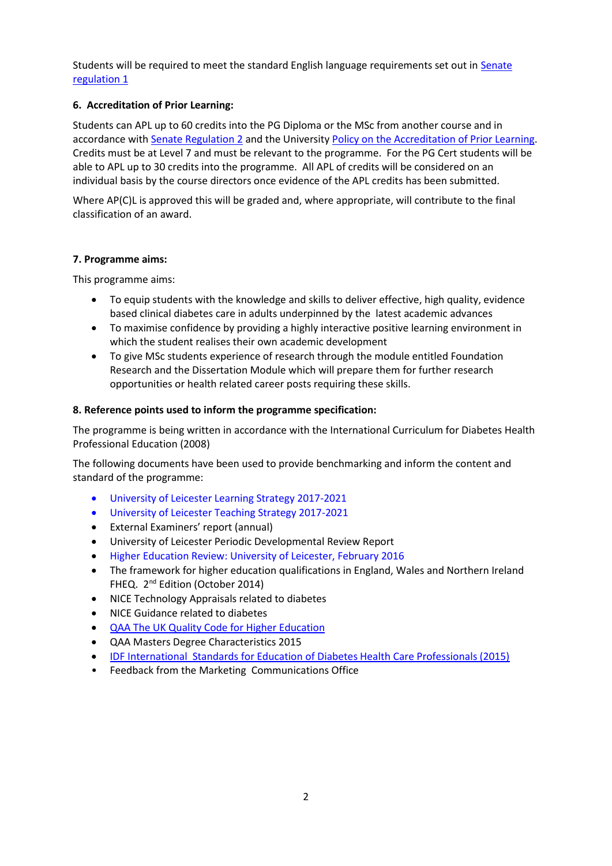Students will be required to meet the standard English language requirements set out in [Senate](https://www2.le.ac.uk/offices/sas2/regulations/documents/senatereg1-entry)  [regulation 1](https://www2.le.ac.uk/offices/sas2/regulations/documents/senatereg1-entry)

# **6. Accreditation of Prior Learning:**

Students can APL up to 60 credits into the PG Diploma or the MSc from another course and in accordance with [Senate Regulation 2](http://www.le.ac.uk/senate-regulation2) and the University [Policy on the Accreditation of Prior Learning.](http://www2.le.ac.uk/offices/sas2/quality/accreditation-of-prior-learning) Credits must be at Level 7 and must be relevant to the programme. For the PG Cert students will be able to APL up to 30 credits into the programme. All APL of credits will be considered on an individual basis by the course directors once evidence of the APL credits has been submitted.

Where AP(C)L is approved this will be graded and, where appropriate, will contribute to the final classification of an award.

# **7. Programme aims:**

This programme aims:

- To equip students with the knowledge and skills to deliver effective, high quality, evidence based clinical diabetes care in adults underpinned by the latest academic advances
- To maximise confidence by providing a highly interactive positive learning environment in which the student realises their own academic development
- To give MSc students experience of research through the module entitled Foundation Research and the Dissertation Module which will prepare them for further research opportunities or health related career posts requiring these skills.

# **8. Reference points used to inform the programme specification:**

The programme is being written in accordance with the International Curriculum for Diabetes Health Professional Education (2008)

The following documents have been used to provide benchmarking and inform the content and standard of the programme:

- University of Leicester Learning Strategy 2017-2021
- University of Leicester Teaching Strategy 2017-2021
- External Examiners' report (annual)
- University of Leicester Periodic Developmental Review Report
- Higher Education Review: University of Leicester, February 2016
- The framework for higher education qualifications in England, Wales and Northern Ireland FHEQ. 2<sup>nd</sup> Edition (October 2014)
- NICE Technology Appraisals related to diabetes
- NICE Guidance related to diabetes
- [QAA The UK Quality Code for Higher Education](http://qaa.ac.uk/en/quality-code/the-existing-uk-quality-code)
- QAA Masters Degree Characteristics 2015
- [IDF International Standards for Education of Diabetes Health Care Professionals \(2015\)](https://www.idf.org/our-activities/advocacy-awareness/resources-and-tools/63:international-standards-for-education-of-diabetes-health-professionals.html)
- Feedback from the Marketing Communications Office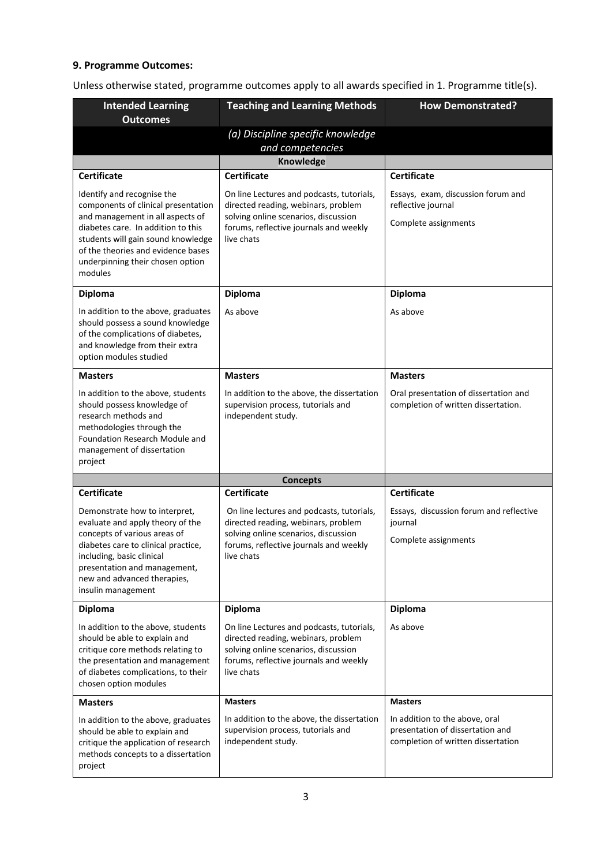# **9. Programme Outcomes:**

Unless otherwise stated, programme outcomes apply to all awards specified in 1. Programme title(s).

| <b>Intended Learning</b><br><b>Outcomes</b>                                                                                                                                                                                                                            | <b>Teaching and Learning Methods</b>                                                                                                                                             | <b>How Demonstrated?</b>                                                                                 |  |
|------------------------------------------------------------------------------------------------------------------------------------------------------------------------------------------------------------------------------------------------------------------------|----------------------------------------------------------------------------------------------------------------------------------------------------------------------------------|----------------------------------------------------------------------------------------------------------|--|
|                                                                                                                                                                                                                                                                        | (a) Discipline specific knowledge<br>and competencies                                                                                                                            |                                                                                                          |  |
|                                                                                                                                                                                                                                                                        | <b>Knowledge</b>                                                                                                                                                                 |                                                                                                          |  |
| <b>Certificate</b>                                                                                                                                                                                                                                                     | <b>Certificate</b>                                                                                                                                                               | <b>Certificate</b>                                                                                       |  |
| Identify and recognise the<br>components of clinical presentation<br>and management in all aspects of<br>diabetes care. In addition to this<br>students will gain sound knowledge<br>of the theories and evidence bases<br>underpinning their chosen option<br>modules | On line Lectures and podcasts, tutorials,<br>directed reading, webinars, problem<br>solving online scenarios, discussion<br>forums, reflective journals and weekly<br>live chats | Essays, exam, discussion forum and<br>reflective journal<br>Complete assignments                         |  |
| <b>Diploma</b>                                                                                                                                                                                                                                                         | <b>Diploma</b>                                                                                                                                                                   | <b>Diploma</b>                                                                                           |  |
| In addition to the above, graduates<br>should possess a sound knowledge<br>of the complications of diabetes,<br>and knowledge from their extra<br>option modules studied                                                                                               | As above                                                                                                                                                                         | As above                                                                                                 |  |
| <b>Masters</b>                                                                                                                                                                                                                                                         | <b>Masters</b>                                                                                                                                                                   | <b>Masters</b>                                                                                           |  |
| In addition to the above, students<br>should possess knowledge of<br>research methods and<br>methodologies through the<br>Foundation Research Module and<br>management of dissertation<br>project                                                                      | In addition to the above, the dissertation<br>supervision process, tutorials and<br>independent study.                                                                           | Oral presentation of dissertation and<br>completion of written dissertation.                             |  |
|                                                                                                                                                                                                                                                                        | <b>Concepts</b>                                                                                                                                                                  |                                                                                                          |  |
| <b>Certificate</b>                                                                                                                                                                                                                                                     | <b>Certificate</b>                                                                                                                                                               | <b>Certificate</b>                                                                                       |  |
| Demonstrate how to interpret,<br>evaluate and apply theory of the<br>concepts of various areas of<br>diabetes care to clinical practice,<br>including, basic clinical<br>presentation and management,<br>new and advanced therapies,<br>insulin management             | On line lectures and podcasts, tutorials,<br>directed reading, webinars, problem<br>solving online scenarios, discussion<br>forums, reflective journals and weekly<br>live chats | Essays, discussion forum and reflective<br>journal<br>Complete assignments                               |  |
| <b>Diploma</b>                                                                                                                                                                                                                                                         | <b>Diploma</b>                                                                                                                                                                   | <b>Diploma</b>                                                                                           |  |
| In addition to the above, students<br>should be able to explain and<br>critique core methods relating to<br>the presentation and management<br>of diabetes complications, to their<br>chosen option modules                                                            | On line Lectures and podcasts, tutorials,<br>directed reading, webinars, problem<br>solving online scenarios, discussion<br>forums, reflective journals and weekly<br>live chats | As above                                                                                                 |  |
| <b>Masters</b>                                                                                                                                                                                                                                                         | <b>Masters</b>                                                                                                                                                                   | <b>Masters</b>                                                                                           |  |
| In addition to the above, graduates<br>should be able to explain and<br>critique the application of research<br>methods concepts to a dissertation<br>project                                                                                                          | In addition to the above, the dissertation<br>supervision process, tutorials and<br>independent study.                                                                           | In addition to the above, oral<br>presentation of dissertation and<br>completion of written dissertation |  |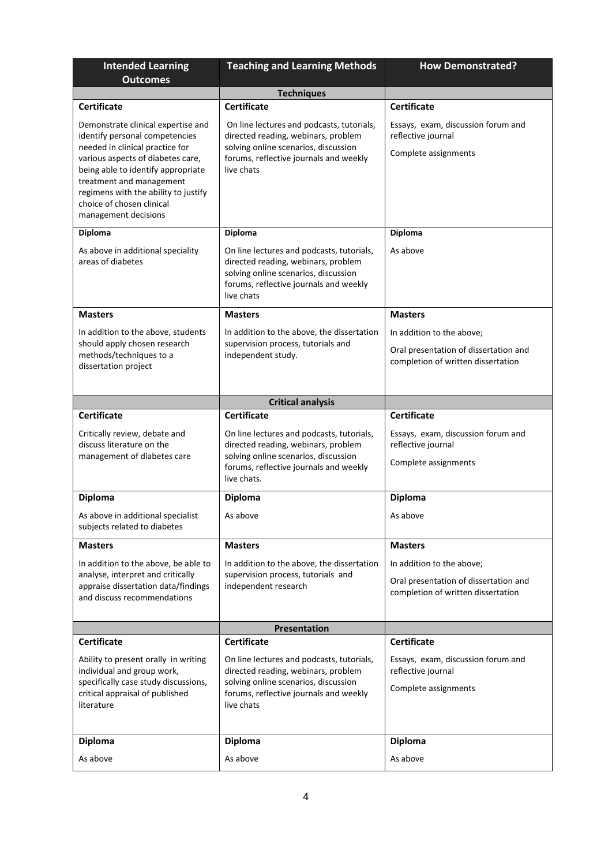| <b>Intended Learning</b><br><b>Outcomes</b>                                                                                                                                                                                                                                                                 | <b>Teaching and Learning Methods</b>                                                                                                                                              | <b>How Demonstrated?</b>                                                                                 |  |
|-------------------------------------------------------------------------------------------------------------------------------------------------------------------------------------------------------------------------------------------------------------------------------------------------------------|-----------------------------------------------------------------------------------------------------------------------------------------------------------------------------------|----------------------------------------------------------------------------------------------------------|--|
|                                                                                                                                                                                                                                                                                                             | <b>Techniques</b>                                                                                                                                                                 |                                                                                                          |  |
| <b>Certificate</b>                                                                                                                                                                                                                                                                                          | <b>Certificate</b>                                                                                                                                                                | <b>Certificate</b>                                                                                       |  |
| Demonstrate clinical expertise and<br>identify personal competencies<br>needed in clinical practice for<br>various aspects of diabetes care,<br>being able to identify appropriate<br>treatment and management<br>regimens with the ability to justify<br>choice of chosen clinical<br>management decisions | On line lectures and podcasts, tutorials,<br>directed reading, webinars, problem<br>solving online scenarios, discussion<br>forums, reflective journals and weekly<br>live chats  | Essays, exam, discussion forum and<br>reflective journal<br>Complete assignments                         |  |
| <b>Diploma</b>                                                                                                                                                                                                                                                                                              | Diploma                                                                                                                                                                           | Diploma                                                                                                  |  |
| As above in additional speciality<br>areas of diabetes                                                                                                                                                                                                                                                      | On line lectures and podcasts, tutorials,<br>directed reading, webinars, problem<br>solving online scenarios, discussion<br>forums, reflective journals and weekly<br>live chats  | As above                                                                                                 |  |
| <b>Masters</b>                                                                                                                                                                                                                                                                                              | <b>Masters</b>                                                                                                                                                                    | <b>Masters</b>                                                                                           |  |
| In addition to the above, students                                                                                                                                                                                                                                                                          | In addition to the above, the dissertation                                                                                                                                        | In addition to the above;                                                                                |  |
| should apply chosen research<br>methods/techniques to a<br>dissertation project                                                                                                                                                                                                                             | supervision process, tutorials and<br>independent study.                                                                                                                          | Oral presentation of dissertation and<br>completion of written dissertation                              |  |
|                                                                                                                                                                                                                                                                                                             | <b>Critical analysis</b>                                                                                                                                                          |                                                                                                          |  |
| <b>Certificate</b>                                                                                                                                                                                                                                                                                          | <b>Certificate</b>                                                                                                                                                                | <b>Certificate</b>                                                                                       |  |
| Critically review, debate and<br>discuss literature on the<br>management of diabetes care                                                                                                                                                                                                                   | On line lectures and podcasts, tutorials,<br>directed reading, webinars, problem<br>solving online scenarios, discussion<br>forums, reflective journals and weekly<br>live chats. | Essays, exam, discussion forum and<br>reflective journal<br>Complete assignments                         |  |
| <b>Diploma</b>                                                                                                                                                                                                                                                                                              | <b>Diploma</b>                                                                                                                                                                    | <b>Diploma</b>                                                                                           |  |
| As above in additional specialist<br>subjects related to diabetes                                                                                                                                                                                                                                           | As above                                                                                                                                                                          | As above                                                                                                 |  |
| <b>Masters</b>                                                                                                                                                                                                                                                                                              | <b>Masters</b>                                                                                                                                                                    | <b>Masters</b>                                                                                           |  |
| In addition to the above, be able to<br>analyse, interpret and critically<br>appraise dissertation data/findings<br>and discuss recommendations                                                                                                                                                             | In addition to the above, the dissertation<br>supervision process, tutorials and<br>independent research                                                                          | In addition to the above;<br>Oral presentation of dissertation and<br>completion of written dissertation |  |
|                                                                                                                                                                                                                                                                                                             | Presentation                                                                                                                                                                      |                                                                                                          |  |
| <b>Certificate</b>                                                                                                                                                                                                                                                                                          | <b>Certificate</b>                                                                                                                                                                | <b>Certificate</b>                                                                                       |  |
| Ability to present orally in writing<br>individual and group work,<br>specifically case study discussions,<br>critical appraisal of published<br>literature                                                                                                                                                 | On line lectures and podcasts, tutorials,<br>directed reading, webinars, problem<br>solving online scenarios, discussion<br>forums, reflective journals and weekly<br>live chats  | Essays, exam, discussion forum and<br>reflective journal<br>Complete assignments                         |  |
| <b>Diploma</b>                                                                                                                                                                                                                                                                                              | <b>Diploma</b>                                                                                                                                                                    | <b>Diploma</b>                                                                                           |  |
| As above                                                                                                                                                                                                                                                                                                    | As above                                                                                                                                                                          | As above                                                                                                 |  |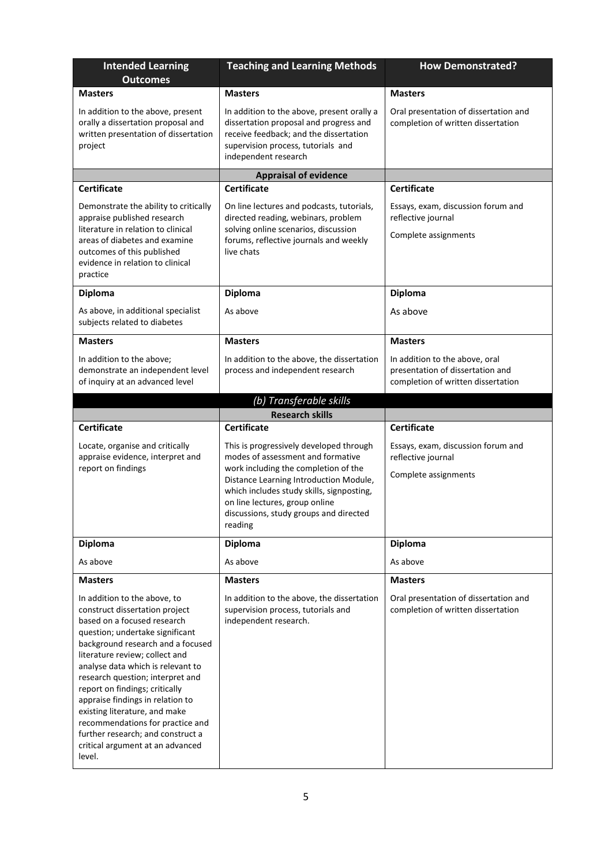| <b>Intended Learning</b><br><b>Outcomes</b>                                                                                                                                                                                                                                                                                                                                                                                                                                                                    | <b>Teaching and Learning Methods</b>                                                                                                                                                                                                                                                               | <b>How Demonstrated?</b>                                                                                 |  |
|----------------------------------------------------------------------------------------------------------------------------------------------------------------------------------------------------------------------------------------------------------------------------------------------------------------------------------------------------------------------------------------------------------------------------------------------------------------------------------------------------------------|----------------------------------------------------------------------------------------------------------------------------------------------------------------------------------------------------------------------------------------------------------------------------------------------------|----------------------------------------------------------------------------------------------------------|--|
| <b>Masters</b>                                                                                                                                                                                                                                                                                                                                                                                                                                                                                                 | <b>Masters</b>                                                                                                                                                                                                                                                                                     | <b>Masters</b>                                                                                           |  |
| In addition to the above, present<br>orally a dissertation proposal and<br>written presentation of dissertation<br>project                                                                                                                                                                                                                                                                                                                                                                                     | In addition to the above, present orally a<br>dissertation proposal and progress and<br>receive feedback; and the dissertation<br>supervision process, tutorials and<br>independent research                                                                                                       | Oral presentation of dissertation and<br>completion of written dissertation                              |  |
|                                                                                                                                                                                                                                                                                                                                                                                                                                                                                                                | <b>Appraisal of evidence</b>                                                                                                                                                                                                                                                                       |                                                                                                          |  |
| <b>Certificate</b>                                                                                                                                                                                                                                                                                                                                                                                                                                                                                             | <b>Certificate</b>                                                                                                                                                                                                                                                                                 | <b>Certificate</b>                                                                                       |  |
| Demonstrate the ability to critically<br>appraise published research<br>literature in relation to clinical<br>areas of diabetes and examine<br>outcomes of this published<br>evidence in relation to clinical<br>practice                                                                                                                                                                                                                                                                                      | On line lectures and podcasts, tutorials,<br>directed reading, webinars, problem<br>solving online scenarios, discussion<br>forums, reflective journals and weekly<br>live chats                                                                                                                   | Essays, exam, discussion forum and<br>reflective journal<br>Complete assignments                         |  |
| <b>Diploma</b>                                                                                                                                                                                                                                                                                                                                                                                                                                                                                                 | Diploma                                                                                                                                                                                                                                                                                            | Diploma                                                                                                  |  |
| As above, in additional specialist<br>subjects related to diabetes                                                                                                                                                                                                                                                                                                                                                                                                                                             | As above                                                                                                                                                                                                                                                                                           | As above                                                                                                 |  |
| <b>Masters</b>                                                                                                                                                                                                                                                                                                                                                                                                                                                                                                 | <b>Masters</b>                                                                                                                                                                                                                                                                                     | <b>Masters</b>                                                                                           |  |
| In addition to the above;<br>demonstrate an independent level<br>of inquiry at an advanced level                                                                                                                                                                                                                                                                                                                                                                                                               | In addition to the above, the dissertation<br>process and independent research                                                                                                                                                                                                                     | In addition to the above, oral<br>presentation of dissertation and<br>completion of written dissertation |  |
|                                                                                                                                                                                                                                                                                                                                                                                                                                                                                                                | (b) Transferable skills                                                                                                                                                                                                                                                                            |                                                                                                          |  |
| Certificate                                                                                                                                                                                                                                                                                                                                                                                                                                                                                                    | <b>Research skills</b><br><b>Certificate</b>                                                                                                                                                                                                                                                       | <b>Certificate</b>                                                                                       |  |
| Locate, organise and critically<br>appraise evidence, interpret and<br>report on findings                                                                                                                                                                                                                                                                                                                                                                                                                      | This is progressively developed through<br>modes of assessment and formative<br>work including the completion of the<br>Distance Learning Introduction Module,<br>which includes study skills, signposting,<br>on line lectures, group online<br>discussions, study groups and directed<br>reading | Essays, exam, discussion forum and<br>reflective journal<br>Complete assignments                         |  |
| <b>Diploma</b>                                                                                                                                                                                                                                                                                                                                                                                                                                                                                                 | <b>Diploma</b>                                                                                                                                                                                                                                                                                     | <b>Diploma</b>                                                                                           |  |
| As above                                                                                                                                                                                                                                                                                                                                                                                                                                                                                                       | As above                                                                                                                                                                                                                                                                                           | As above                                                                                                 |  |
| <b>Masters</b>                                                                                                                                                                                                                                                                                                                                                                                                                                                                                                 | <b>Masters</b>                                                                                                                                                                                                                                                                                     | <b>Masters</b>                                                                                           |  |
| In addition to the above, to<br>construct dissertation project<br>based on a focused research<br>question; undertake significant<br>background research and a focused<br>literature review; collect and<br>analyse data which is relevant to<br>research question; interpret and<br>report on findings; critically<br>appraise findings in relation to<br>existing literature, and make<br>recommendations for practice and<br>further research; and construct a<br>critical argument at an advanced<br>level. | In addition to the above, the dissertation<br>supervision process, tutorials and<br>independent research.                                                                                                                                                                                          | Oral presentation of dissertation and<br>completion of written dissertation                              |  |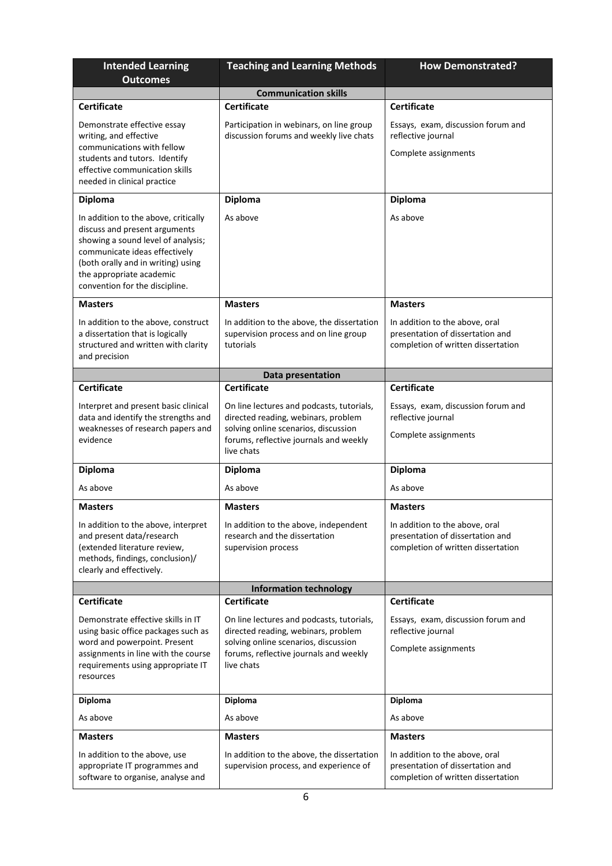| <b>Intended Learning</b><br><b>Outcomes</b>                                                                                                                                                                                                      | <b>Teaching and Learning Methods</b>                                                                                                                                             | <b>How Demonstrated?</b>                                                                                 |  |
|--------------------------------------------------------------------------------------------------------------------------------------------------------------------------------------------------------------------------------------------------|----------------------------------------------------------------------------------------------------------------------------------------------------------------------------------|----------------------------------------------------------------------------------------------------------|--|
|                                                                                                                                                                                                                                                  | <b>Communication skills</b>                                                                                                                                                      |                                                                                                          |  |
| <b>Certificate</b>                                                                                                                                                                                                                               | <b>Certificate</b>                                                                                                                                                               | <b>Certificate</b>                                                                                       |  |
| Demonstrate effective essay<br>writing, and effective<br>communications with fellow<br>students and tutors. Identify<br>effective communication skills<br>needed in clinical practice                                                            | Participation in webinars, on line group<br>discussion forums and weekly live chats                                                                                              | Essays, exam, discussion forum and<br>reflective journal<br>Complete assignments                         |  |
| <b>Diploma</b>                                                                                                                                                                                                                                   | <b>Diploma</b>                                                                                                                                                                   | Diploma                                                                                                  |  |
| In addition to the above, critically<br>discuss and present arguments<br>showing a sound level of analysis;<br>communicate ideas effectively<br>(both orally and in writing) using<br>the appropriate academic<br>convention for the discipline. | As above                                                                                                                                                                         | As above                                                                                                 |  |
| <b>Masters</b>                                                                                                                                                                                                                                   | <b>Masters</b>                                                                                                                                                                   | <b>Masters</b>                                                                                           |  |
| In addition to the above, construct<br>a dissertation that is logically<br>structured and written with clarity<br>and precision                                                                                                                  | In addition to the above, the dissertation<br>supervision process and on line group<br>tutorials                                                                                 | In addition to the above, oral<br>presentation of dissertation and<br>completion of written dissertation |  |
|                                                                                                                                                                                                                                                  | Data presentation                                                                                                                                                                |                                                                                                          |  |
| <b>Certificate</b>                                                                                                                                                                                                                               | <b>Certificate</b>                                                                                                                                                               | <b>Certificate</b>                                                                                       |  |
| Interpret and present basic clinical<br>data and identify the strengths and<br>weaknesses of research papers and<br>evidence                                                                                                                     | On line lectures and podcasts, tutorials,<br>directed reading, webinars, problem<br>solving online scenarios, discussion<br>forums, reflective journals and weekly<br>live chats | Essays, exam, discussion forum and<br>reflective journal<br>Complete assignments                         |  |
| <b>Diploma</b>                                                                                                                                                                                                                                   | <b>Diploma</b>                                                                                                                                                                   | Diploma                                                                                                  |  |
| As above                                                                                                                                                                                                                                         | As above                                                                                                                                                                         | As above                                                                                                 |  |
| <b>Masters</b>                                                                                                                                                                                                                                   | <b>Masters</b>                                                                                                                                                                   | <b>Masters</b>                                                                                           |  |
| In addition to the above, interpret<br>and present data/research<br>(extended literature review,<br>methods, findings, conclusion)/<br>clearly and effectively.                                                                                  | In addition to the above, independent<br>research and the dissertation<br>supervision process                                                                                    | In addition to the above, oral<br>presentation of dissertation and<br>completion of written dissertation |  |
|                                                                                                                                                                                                                                                  | <b>Information technology</b>                                                                                                                                                    |                                                                                                          |  |
| <b>Certificate</b>                                                                                                                                                                                                                               | <b>Certificate</b>                                                                                                                                                               | <b>Certificate</b>                                                                                       |  |
| Demonstrate effective skills in IT<br>using basic office packages such as<br>word and powerpoint. Present<br>assignments in line with the course<br>requirements using appropriate IT<br>resources                                               | On line lectures and podcasts, tutorials,<br>directed reading, webinars, problem<br>solving online scenarios, discussion<br>forums, reflective journals and weekly<br>live chats | Essays, exam, discussion forum and<br>reflective journal<br>Complete assignments                         |  |
| <b>Diploma</b>                                                                                                                                                                                                                                   | Diploma                                                                                                                                                                          | <b>Diploma</b>                                                                                           |  |
| As above                                                                                                                                                                                                                                         | As above                                                                                                                                                                         | As above                                                                                                 |  |
| <b>Masters</b>                                                                                                                                                                                                                                   | <b>Masters</b>                                                                                                                                                                   | <b>Masters</b>                                                                                           |  |
| In addition to the above, use<br>appropriate IT programmes and<br>software to organise, analyse and                                                                                                                                              | In addition to the above, the dissertation<br>supervision process, and experience of                                                                                             | In addition to the above, oral<br>presentation of dissertation and<br>completion of written dissertation |  |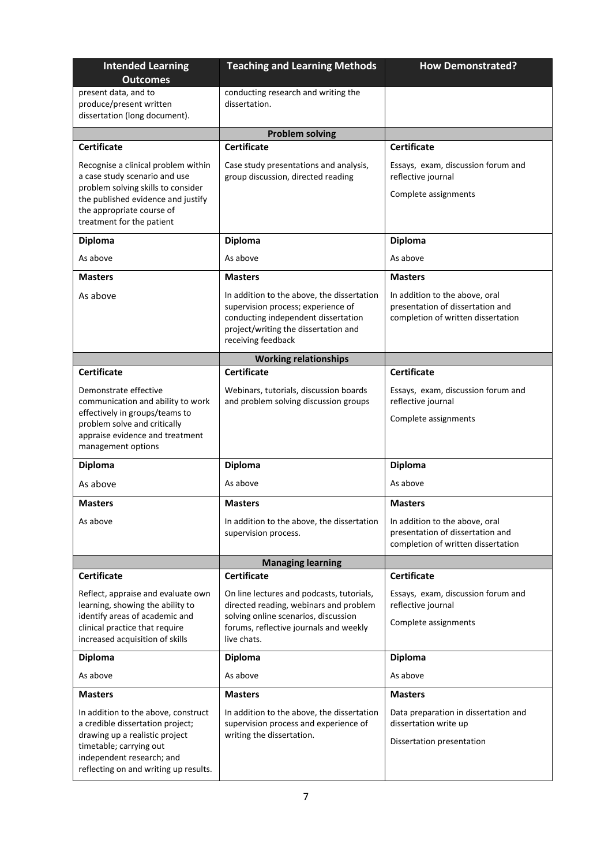| <b>Intended Learning</b><br><b>Outcomes</b>                                                                                                                                                                | <b>Teaching and Learning Methods</b>                                                                                                                                                  | <b>How Demonstrated?</b>                                                                                 |  |
|------------------------------------------------------------------------------------------------------------------------------------------------------------------------------------------------------------|---------------------------------------------------------------------------------------------------------------------------------------------------------------------------------------|----------------------------------------------------------------------------------------------------------|--|
| present data, and to<br>produce/present written<br>dissertation (long document).                                                                                                                           | conducting research and writing the<br>dissertation.                                                                                                                                  |                                                                                                          |  |
|                                                                                                                                                                                                            | <b>Problem solving</b>                                                                                                                                                                |                                                                                                          |  |
| <b>Certificate</b>                                                                                                                                                                                         | <b>Certificate</b>                                                                                                                                                                    | <b>Certificate</b>                                                                                       |  |
| Recognise a clinical problem within<br>a case study scenario and use<br>problem solving skills to consider<br>the published evidence and justify<br>the appropriate course of<br>treatment for the patient | Case study presentations and analysis,<br>group discussion, directed reading                                                                                                          | Essays, exam, discussion forum and<br>reflective journal<br>Complete assignments                         |  |
| <b>Diploma</b>                                                                                                                                                                                             | <b>Diploma</b>                                                                                                                                                                        | Diploma                                                                                                  |  |
| As above                                                                                                                                                                                                   | As above                                                                                                                                                                              | As above                                                                                                 |  |
| <b>Masters</b>                                                                                                                                                                                             | <b>Masters</b>                                                                                                                                                                        | <b>Masters</b>                                                                                           |  |
| As above                                                                                                                                                                                                   | In addition to the above, the dissertation<br>supervision process; experience of<br>conducting independent dissertation<br>project/writing the dissertation and<br>receiving feedback | In addition to the above, oral<br>presentation of dissertation and<br>completion of written dissertation |  |
|                                                                                                                                                                                                            | <b>Working relationships</b>                                                                                                                                                          |                                                                                                          |  |
| <b>Certificate</b>                                                                                                                                                                                         | <b>Certificate</b>                                                                                                                                                                    | <b>Certificate</b>                                                                                       |  |
| Demonstrate effective<br>communication and ability to work<br>effectively in groups/teams to<br>problem solve and critically<br>appraise evidence and treatment<br>management options                      | Webinars, tutorials, discussion boards<br>and problem solving discussion groups                                                                                                       | Essays, exam, discussion forum and<br>reflective journal<br>Complete assignments                         |  |
| <b>Diploma</b>                                                                                                                                                                                             | <b>Diploma</b>                                                                                                                                                                        | Diploma                                                                                                  |  |
| As above                                                                                                                                                                                                   | As above                                                                                                                                                                              | As above                                                                                                 |  |
| <b>Masters</b>                                                                                                                                                                                             | <b>Masters</b>                                                                                                                                                                        | <b>Masters</b>                                                                                           |  |
| As above                                                                                                                                                                                                   | In addition to the above, the dissertation<br>supervision process.                                                                                                                    | In addition to the above, oral<br>presentation of dissertation and<br>completion of written dissertation |  |
|                                                                                                                                                                                                            | <b>Managing learning</b>                                                                                                                                                              |                                                                                                          |  |
| <b>Certificate</b>                                                                                                                                                                                         | <b>Certificate</b>                                                                                                                                                                    | <b>Certificate</b>                                                                                       |  |
| Reflect, appraise and evaluate own<br>learning, showing the ability to<br>identify areas of academic and<br>clinical practice that require<br>increased acquisition of skills                              | On line lectures and podcasts, tutorials,<br>directed reading, webinars and problem<br>solving online scenarios, discussion<br>forums, reflective journals and weekly<br>live chats.  | Essays, exam, discussion forum and<br>reflective journal<br>Complete assignments                         |  |
| <b>Diploma</b>                                                                                                                                                                                             | <b>Diploma</b>                                                                                                                                                                        | <b>Diploma</b>                                                                                           |  |
| As above                                                                                                                                                                                                   | As above                                                                                                                                                                              | As above                                                                                                 |  |
| <b>Masters</b>                                                                                                                                                                                             | <b>Masters</b>                                                                                                                                                                        | <b>Masters</b>                                                                                           |  |
| In addition to the above, construct<br>a credible dissertation project;<br>drawing up a realistic project<br>timetable; carrying out<br>independent research; and<br>reflecting on and writing up results. | In addition to the above, the dissertation<br>supervision process and experience of<br>writing the dissertation.                                                                      | Data preparation in dissertation and<br>dissertation write up<br>Dissertation presentation               |  |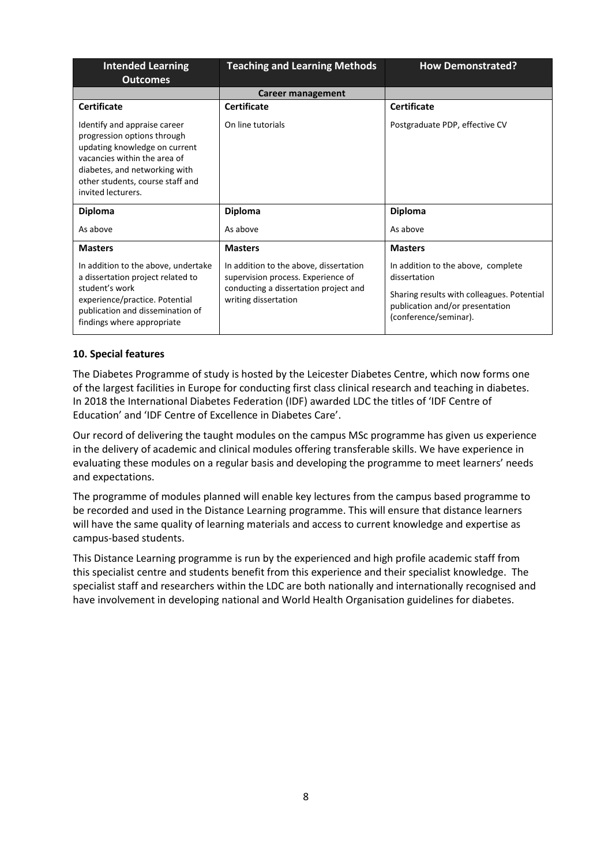| <b>Intended Learning</b><br><b>Outcomes</b>                                                                                                                                                                             | <b>Teaching and Learning Methods</b>                                                                                                          | <b>How Demonstrated?</b>                                                                                                                                     |  |
|-------------------------------------------------------------------------------------------------------------------------------------------------------------------------------------------------------------------------|-----------------------------------------------------------------------------------------------------------------------------------------------|--------------------------------------------------------------------------------------------------------------------------------------------------------------|--|
|                                                                                                                                                                                                                         | Career management                                                                                                                             |                                                                                                                                                              |  |
| <b>Certificate</b>                                                                                                                                                                                                      | <b>Certificate</b>                                                                                                                            | <b>Certificate</b>                                                                                                                                           |  |
| Identify and appraise career<br>progression options through<br>updating knowledge on current<br>vacancies within the area of<br>diabetes, and networking with<br>other students, course staff and<br>invited lecturers. | On line tutorials                                                                                                                             | Postgraduate PDP, effective CV                                                                                                                               |  |
| <b>Diploma</b>                                                                                                                                                                                                          | <b>Diploma</b>                                                                                                                                | <b>Diploma</b>                                                                                                                                               |  |
| As above                                                                                                                                                                                                                | As above                                                                                                                                      | As above                                                                                                                                                     |  |
| <b>Masters</b>                                                                                                                                                                                                          | <b>Masters</b>                                                                                                                                | <b>Masters</b>                                                                                                                                               |  |
| In addition to the above, undertake<br>a dissertation project related to<br>student's work<br>experience/practice. Potential<br>publication and dissemination of<br>findings where appropriate                          | In addition to the above, dissertation<br>supervision process. Experience of<br>conducting a dissertation project and<br>writing dissertation | In addition to the above, complete<br>dissertation<br>Sharing results with colleagues. Potential<br>publication and/or presentation<br>(conference/seminar). |  |

### **10. Special features**

The Diabetes Programme of study is hosted by the Leicester Diabetes Centre, which now forms one of the largest facilities in Europe for conducting first class clinical research and teaching in diabetes. In 2018 the International Diabetes Federation (IDF) awarded LDC the titles of 'IDF Centre of Education' and 'IDF Centre of Excellence in Diabetes Care'.

Our record of delivering the taught modules on the campus MSc programme has given us experience in the delivery of academic and clinical modules offering transferable skills. We have experience in evaluating these modules on a regular basis and developing the programme to meet learners' needs and expectations.

The programme of modules planned will enable key lectures from the campus based programme to be recorded and used in the Distance Learning programme. This will ensure that distance learners will have the same quality of learning materials and access to current knowledge and expertise as campus-based students.

This Distance Learning programme is run by the experienced and high profile academic staff from this specialist centre and students benefit from this experience and their specialist knowledge. The specialist staff and researchers within the LDC are both nationally and internationally recognised and have involvement in developing national and World Health Organisation guidelines for diabetes.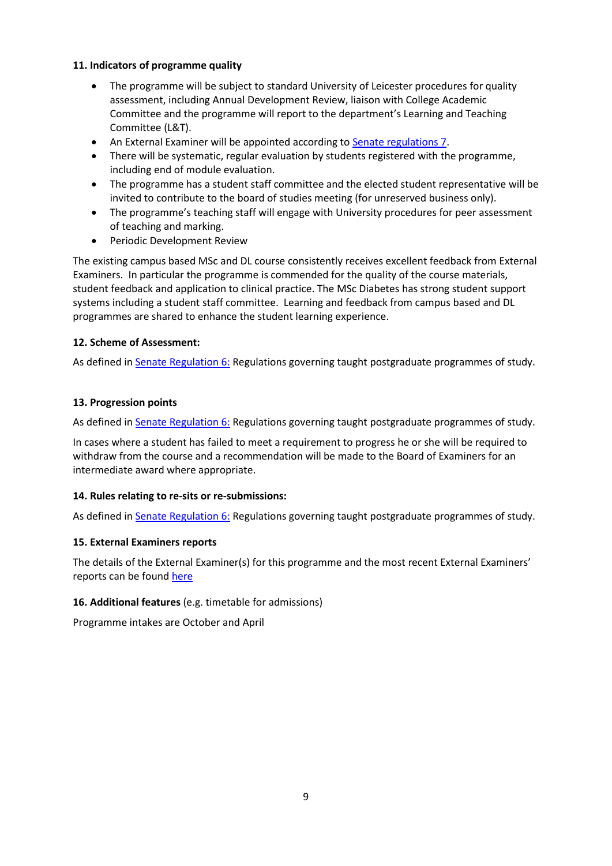# **11. Indicators of programme quality**

- The programme will be subject to standard University of Leicester procedures for quality assessment, including Annual Development Review, liaison with College Academic Committee and the programme will report to the department's Learning and Teaching Committee (L&T).
- An External Examiner will be appointed according to [Senate regulations 7.](http://www.le.ac.uk/senate-regulations)
- There will be systematic, regular evaluation by students registered with the programme, including end of module evaluation.
- The programme has a student staff committee and the elected student representative will be invited to contribute to the board of studies meeting (for unreserved business only).
- The programme's teaching staff will engage with University procedures for peer assessment of teaching and marking.
- **•** Periodic Development Review

The existing campus based MSc and DL course consistently receives excellent feedback from External Examiners. In particular the programme is commended for the quality of the course materials, student feedback and application to clinical practice. The MSc Diabetes has strong student support systems including a student staff committee. Learning and feedback from campus based and DL programmes are shared to enhance the student learning experience.

### **12. Scheme of Assessment:**

As defined i[n Senate Regulation 6:](http://www.le.ac.uk/senate-regulation6) Regulations governing taught postgraduate programmes of study.

# **13. Progression points**

As defined i[n Senate Regulation 6:](http://www.le.ac.uk/senate-regulation6) Regulations governing taught postgraduate programmes of study.

In cases where a student has failed to meet a requirement to progress he or she will be required to withdraw from the course and a recommendation will be made to the Board of Examiners for an intermediate award where appropriate.

### **14. Rules relating to re-sits or re-submissions:**

As defined i[n Senate Regulation 6:](http://www.le.ac.uk/senate-regulation6) Regulations governing taught postgraduate programmes of study.

### **15. External Examiners reports**

The details of the External Examiner(s) for this programme and the most recent External Examiners' reports can be found [here](https://exampapers.le.ac.uk/xmlui/handle/123456789/219)

### **16. Additional features** (e.g. timetable for admissions)

Programme intakes are October and April